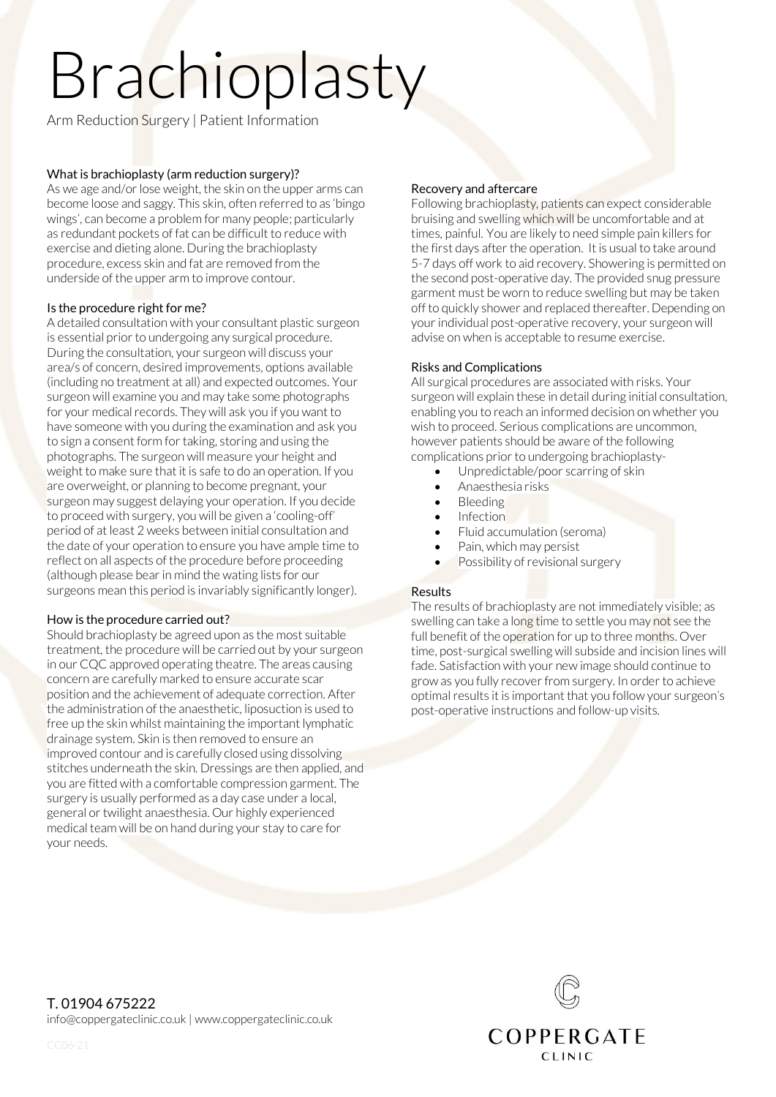# Brachioplasty

Arm Reduction Surgery | Patient Information

#### What is brachioplasty (arm reduction surgery)?

As we age and/or lose weight, the skin on the upper arms can become loose and saggy. This skin, often referred to as 'bingo wings', can become a problem for many people; particularly as redundant pockets of fat can be difficult to reduce with exercise and dieting alone. During the brachioplasty procedure, excess skin and fat are removed from the underside of the upper arm to improve contour.

#### Is the procedure right for me?

A detailed consultation with your consultant plastic surgeon is essential prior to undergoing any surgical procedure. During the consultation, your surgeon will discuss your area/s of concern, desired improvements, options available (including no treatment at all) and expected outcomes. Your surgeon will examine you and may take some photographs for your medical records. They will ask you if you want to have someone with you during the examination and ask you to sign a consent form for taking, storing and using the photographs. The surgeon will measure your height and weight to make sure that it is safe to do an operation. If you are overweight, or planning to become pregnant, your surgeon may suggest delaying your operation. If you decide to proceed with surgery, you will be given a 'cooling-off' period of at least 2 weeks between initial consultation and the date of your operation to ensure you have ample time to reflect on all aspects of the procedure before proceeding (although please bear in mind the wating lists for our surgeons mean this period is invariably significantly longer).

#### How is the procedure carried out?

Should brachioplasty be agreed upon as the most suitable treatment, the procedure will be carried out by your surgeon in our CQC approved operating theatre. The areas causing concern are carefully marked to ensure accurate scar position and the achievement of adequate correction. After the administration of the anaesthetic, liposuction is used to free up the skin whilst maintaining the important lymphatic drainage system. Skin is then removed to ensure an improved contour and is carefully closed using dissolving stitches underneath the skin. Dressings are then applied, and you are fitted with a comfortable compression garment. The surgery is usually performed as a day case under a local, general or twilight anaesthesia. Our highly experienced medical team will be on hand during your stay to care for your needs.

### Recovery and aftercare

Following brachioplasty, patients can expect considerable bruising and swelling which will be uncomfortable and at times, painful. You are likely to need simple pain killers for the first days after the operation. It is usual to take around 5-7 days off work to aid recovery. Showering is permitted on the second post-operative day. The provided snug pressure garment must be worn to reduce swelling but may be taken off to quickly shower and replaced thereafter. Depending on your individual post-operative recovery, your surgeon will advise on when is acceptable to resume exercise.

## Risks and Complications

All surgical procedures are associated with risks. Your surgeon will explain these in detail during initial consultation, enabling you to reach an informed decision on whether you wish to proceed. Serious complications are uncommon, however patients should be aware of the following complications prior to undergoing brachioplasty-

- Unpredictable/poor scarring of skin
- Anaesthesia risks
- Bleeding
- Infection
- Fluid accumulation (seroma)
- Pain, which may persist
- Possibility of revisional surgery

#### Results

The results of brachioplasty are not immediately visible; as swelling can take a long time to settle you may not see the full benefit of the operation for up to three months. Over time, post-surgical swelling will subside and incision lines will fade. Satisfaction with your new image should continue to grow as you fully recover from surgery. In order to achieve optimal results it is important that you follow your surgeon's post-operative instructions and follow-up visits.



T. 01904 675222 info@coppergateclinic.co.uk | www.coppergateclinic.co.uk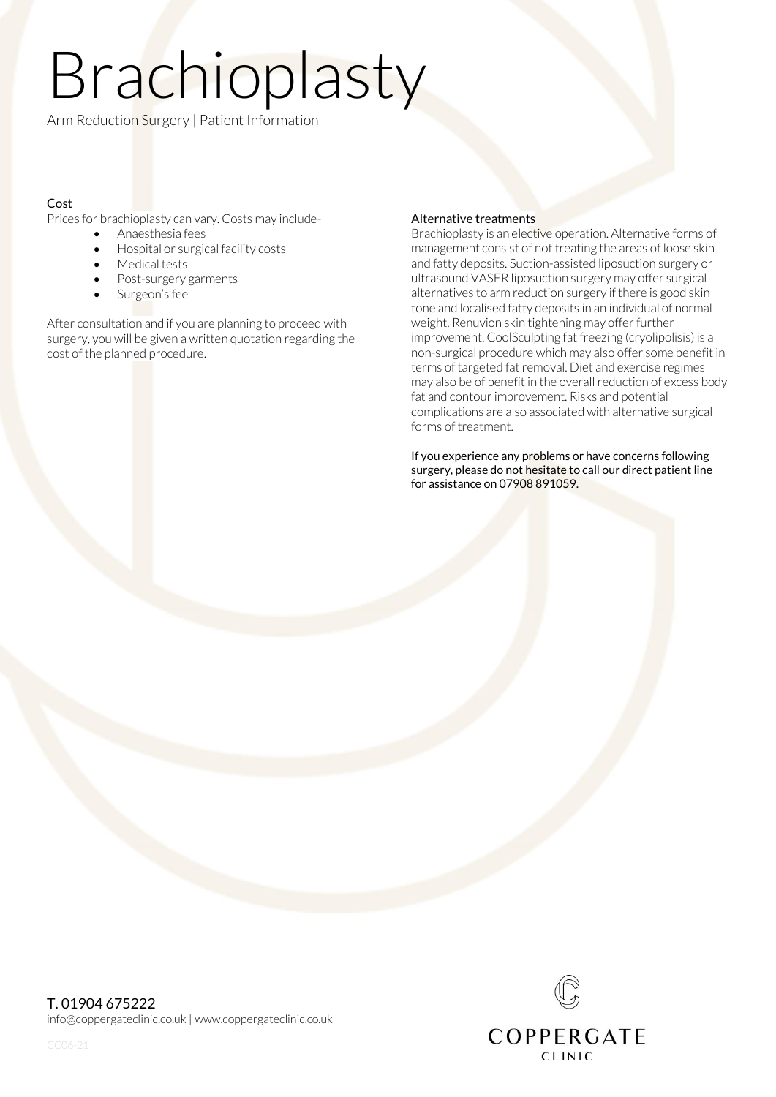# Brachioplasty

Arm Reduction Surgery | Patient Information

# Cost

Prices for brachioplasty can vary. Costs may include-

- Anaesthesia fees
- Hospital or surgical facility costs
- Medical tests
- Post-surgery garments
- Surgeon's fee

After consultation and if you are planning to proceed with surgery, you will be given a written quotation regarding the cost of the planned procedure.

#### Alternative treatments

Brachioplasty is an elective operation. Alternative forms of management consist of not treating the areas of loose skin and fatty deposits. Suction-assisted liposuction surgery or ultrasound VASER liposuction surgery may offer surgical alternatives to arm reduction surgery if there is good skin tone and localised fatty deposits in an individual of normal weight. Renuvion skin tightening may offer further improvement. CoolSculpting fat freezing (cryolipolisis) is a non-surgical procedure which may also offer some benefit in terms of targeted fat removal. Diet and exercise regimes may also be of benefit in the overall reduction of excess body fat and contour improvement. Risks and potential complications are also associated with alternative surgical forms of treatment.

If you experience any problems or have concerns following surgery, please do not hesitate to call our direct patient line for assistance on 07908 891059.